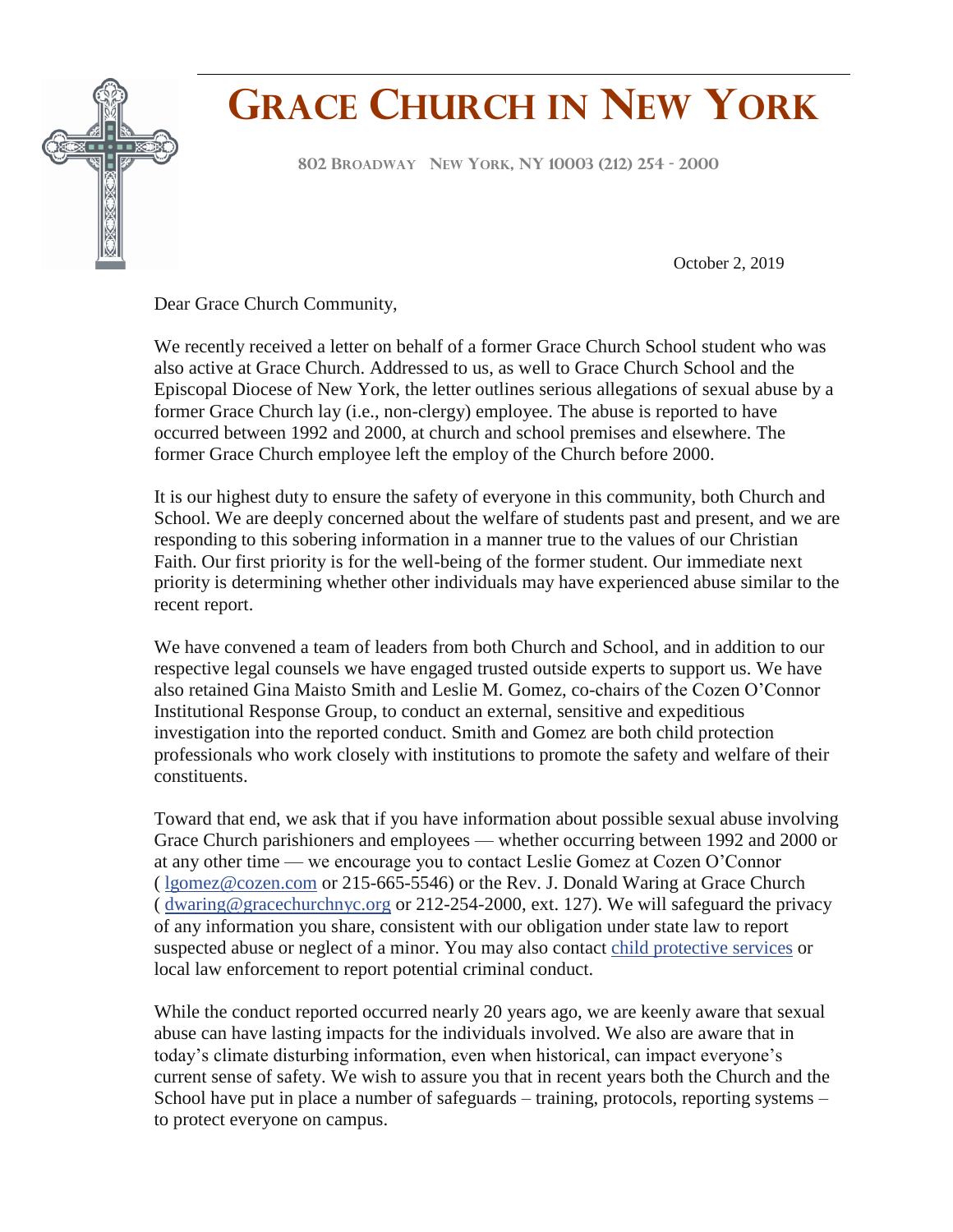

## **GRACE CHURCH IN NEW YORK**

**<sup>802</sup> <sup>B</sup>ROADWAY NEW YORK, NY <sup>10003</sup> (212) <sup>254</sup> - <sup>2000</sup> F**

October 2, 2019

Dear Grace Church Community,

We recently received a letter on behalf of a former Grace Church School student who was also active at Grace Church. Addressed to us, as well to Grace Church School and the Episcopal Diocese of New York, the letter outlines serious allegations of sexual abuse by a former Grace Church lay (i.e., non-clergy) employee. The abuse is reported to have occurred between 1992 and 2000, at church and school premises and elsewhere. The former Grace Church employee left the employ of the Church before 2000.

It is our highest duty to ensure the safety of everyone in this community, both Church and School. We are deeply concerned about the welfare of students past and present, and we are responding to this sobering information in a manner true to the values of our Christian Faith. Our first priority is for the well-being of the former student. Our immediate next priority is determining whether other individuals may have experienced abuse similar to the recent report.

We have convened a team of leaders from both Church and School, and in addition to our respective legal counsels we have engaged trusted outside experts to support us. We have also retained Gina Maisto Smith and Leslie M. Gomez, co-chairs of the Cozen O'Connor Institutional Response Group, to conduct an external, sensitive and expeditious investigation into the reported conduct. Smith and Gomez are both child protection professionals who work closely with institutions to promote the safety and welfare of their constituents.

Toward that end, we ask that if you have information about possible sexual abuse involving Grace Church parishioners and employees — whether occurring between 1992 and 2000 or at any other time — we encourage you to contact Leslie Gomez at Cozen O'Connor ( [lgomez@cozen.com](mailto:lgomez@cozen.com) or 215-665-5546) or the Rev. J. Donald Waring at Grace Church ( [dwaring@gracechurchnyc.org](mailto:dwaring@gracechurchnyc.org) or 212-254-2000, ext. 127). We will safeguard the privacy of any information you share, consistent with our obligation under state law to report suspected abuse or neglect of a minor. You may also contact [child protective services](https://ocfs.ny.gov/main/contact/) or local law enforcement to report potential criminal conduct.

While the conduct reported occurred nearly 20 years ago, we are keenly aware that sexual abuse can have lasting impacts for the individuals involved. We also are aware that in today's climate disturbing information, even when historical, can impact everyone's current sense of safety. We wish to assure you that in recent years both the Church and the School have put in place a number of safeguards – training, protocols, reporting systems – to protect everyone on campus.